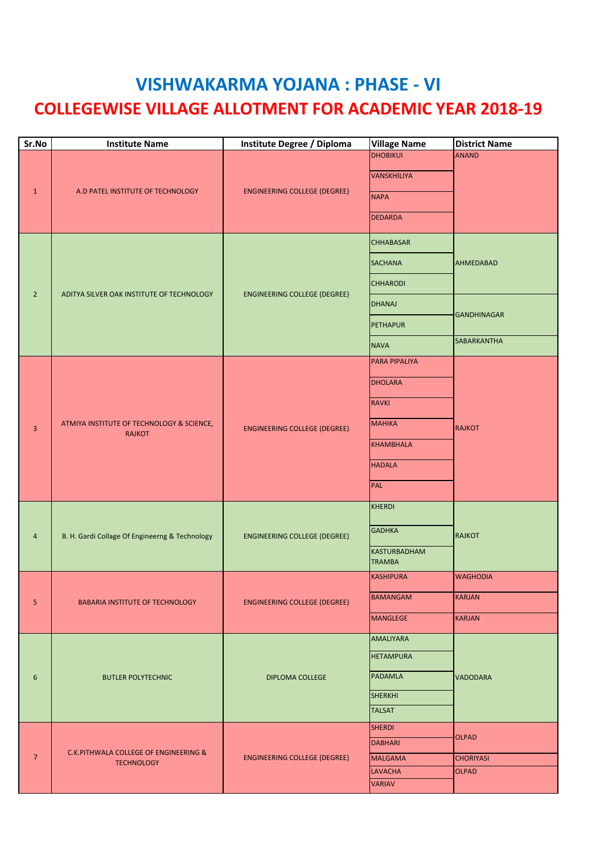## **VISHWAKARMA YOJANA : PHASE - VI COLLEGEWISE VILLAGE ALLOTMENT FOR ACADEMIC YEAR 2018-19**

| Sr.No           | <b>Institute Name</b>                                      | Institute Degree / Diploma          | <b>Village Name</b>                                                                                                         | <b>District Name</b>                                  |
|-----------------|------------------------------------------------------------|-------------------------------------|-----------------------------------------------------------------------------------------------------------------------------|-------------------------------------------------------|
| $\mathbf{1}$    | A.D PATEL INSTITUTE OF TECHNOLOGY                          | <b>ENGINEERING COLLEGE (DEGREE)</b> | <b>DHOBIKUI</b><br><b>VANSKHILIYA</b><br><b>NAPA</b><br><b>DEDARDA</b>                                                      | <b>ANAND</b>                                          |
| $\overline{2}$  | ADITYA SILVER OAK INSTITUTE OF TECHNOLOGY                  | <b>ENGINEERING COLLEGE (DEGREE)</b> | <b>CHHABASAR</b><br><b>SACHANA</b><br><b>CHHARODI</b><br><b>DHANAJ</b><br><b>PETHAPUR</b>                                   | <b>AHMEDABAD</b><br><b>GANDHINAGAR</b><br>SABARKANTHA |
| $\overline{3}$  | ATMIYA INSTITUTE OF TECHNOLOGY & SCIENCE,<br><b>RAJKOT</b> | <b>ENGINEERING COLLEGE (DEGREE)</b> | <b>NAVA</b><br>PARA PIPALIYA<br><b>DHOLARA</b><br><b>RAVKI</b><br><b>MAHIKA</b><br><b>KHAMBHALA</b><br><b>HADALA</b><br>PAL | <b>RAJKOT</b>                                         |
| $\overline{4}$  | B. H. Gardi Collage Of Engineerng & Technology             | <b>ENGINEERING COLLEGE (DEGREE)</b> | <b>KHERDI</b><br><b>GADHKA</b><br><b>KASTURBADHAM</b><br><b>TRAMBA</b>                                                      | <b>RAJKOT</b>                                         |
| 5               | <b>BABARIA INSTITUTE OF TECHNOLOGY</b>                     | <b>ENGINEERING COLLEGE (DEGREE)</b> | <b>KASHIPURA</b><br><b>BAMANGAM</b><br><b>MANGLEGE</b>                                                                      | <b>WAGHODIA</b><br><b>KARJAN</b><br><b>KARJAN</b>     |
| $6\phantom{1}6$ | <b>BUTLER POLYTECHNIC</b>                                  | <b>DIPLOMA COLLEGE</b>              | <b>AMALIYARA</b><br><b>HETAMPURA</b><br><b>PADAMLA</b><br><b>SHERKHI</b><br><b>TALSAT</b>                                   | <b>VADODARA</b>                                       |
| $\overline{7}$  | C.K.PITHWALA COLLEGE OF ENGINEERING &<br><b>TECHNOLOGY</b> | <b>ENGINEERING COLLEGE (DEGREE)</b> | <b>SHERDI</b><br><b>DABHARI</b><br><b>MALGAMA</b><br><b>LAVACHA</b><br><b>VARIAV</b>                                        | <b>OLPAD</b><br><b>CHORIYASI</b><br><b>OLPAD</b>      |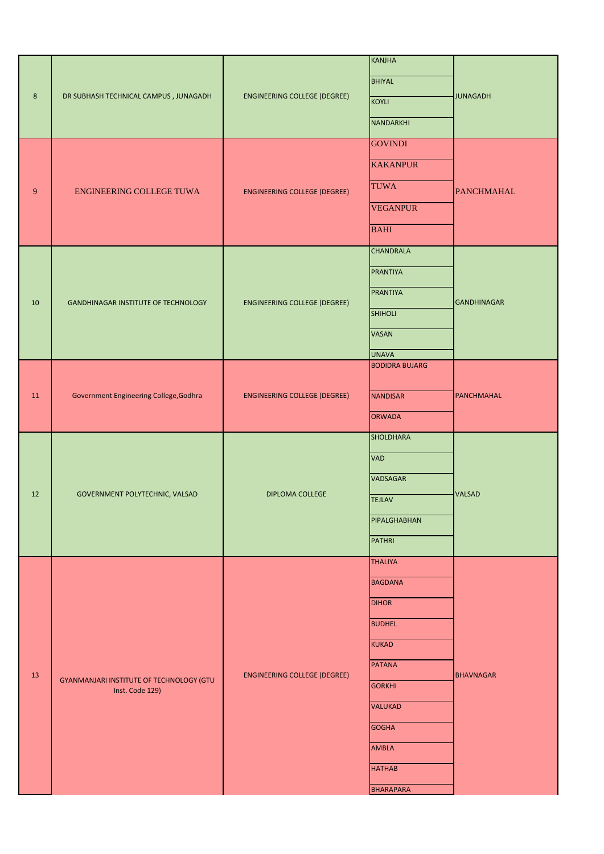|                |                                                             |                                     | <b>KANJHA</b>         |                    |
|----------------|-------------------------------------------------------------|-------------------------------------|-----------------------|--------------------|
| $8\phantom{1}$ | DR SUBHASH TECHNICAL CAMPUS, JUNAGADH                       | <b>ENGINEERING COLLEGE (DEGREE)</b> | <b>BHIYAL</b>         |                    |
|                |                                                             |                                     | KOYLI                 | <b>JUNAGADH</b>    |
|                |                                                             |                                     | NANDARKHI             |                    |
|                |                                                             |                                     | <b>GOVINDI</b>        |                    |
| 9              | ENGINEERING COLLEGE TUWA                                    | <b>ENGINEERING COLLEGE (DEGREE)</b> | <b>KAKANPUR</b>       | <b>PANCHMAHAL</b>  |
|                |                                                             |                                     | <b>TUWA</b>           |                    |
|                |                                                             |                                     | <b>VEGANPUR</b>       |                    |
|                |                                                             |                                     | <b>BAHI</b>           |                    |
|                |                                                             |                                     | <b>CHANDRALA</b>      | <b>GANDHINAGAR</b> |
|                |                                                             |                                     | <b>PRANTIYA</b>       |                    |
| 10             | <b>GANDHINAGAR INSTITUTE OF TECHNOLOGY</b>                  | <b>ENGINEERING COLLEGE (DEGREE)</b> | <b>PRANTIYA</b>       |                    |
|                |                                                             |                                     | <b>SHIHOLI</b>        |                    |
|                |                                                             |                                     | <b>VASAN</b>          |                    |
|                |                                                             |                                     | <b>UNAVA</b>          |                    |
|                |                                                             |                                     | <b>BODIDRA BUJARG</b> |                    |
| 11             | Government Engineering College, Godhra                      | <b>ENGINEERING COLLEGE (DEGREE)</b> | <b>NANDISAR</b>       | PANCHMAHAL         |
|                |                                                             |                                     | <b>ORWADA</b>         |                    |
|                | GOVERNMENT POLYTECHNIC, VALSAD                              |                                     | <b>SHOLDHARA</b>      | <b>VALSAD</b>      |
|                |                                                             | <b>DIPLOMA COLLEGE</b>              | <b>VAD</b>            |                    |
|                |                                                             |                                     | VADSAGAR              |                    |
| 12             |                                                             |                                     | <b>TEJLAV</b>         |                    |
|                |                                                             |                                     | PIPALGHABHAN          |                    |
|                |                                                             |                                     | <b>PATHRI</b>         |                    |
|                |                                                             |                                     | <b>THALIYA</b>        |                    |
|                | GYANMANJARI INSTITUTE OF TECHNOLOGY (GTU<br>Inst. Code 129) | <b>ENGINEERING COLLEGE (DEGREE)</b> | <b>BAGDANA</b>        | <b>BHAVNAGAR</b>   |
|                |                                                             |                                     | <b>DIHOR</b>          |                    |
|                |                                                             |                                     | <b>BUDHEL</b>         |                    |
|                |                                                             |                                     | <b>KUKAD</b>          |                    |
| $13\,$         |                                                             |                                     | <b>PATANA</b>         |                    |
|                |                                                             |                                     | <b>GORKHI</b>         |                    |
|                |                                                             |                                     | <b>VALUKAD</b>        |                    |
|                |                                                             |                                     | <b>GOGHA</b>          |                    |
|                |                                                             |                                     | <b>AMBLA</b>          |                    |
|                |                                                             |                                     | <b>HATHAB</b>         |                    |
|                |                                                             |                                     | <b>BHARAPARA</b>      |                    |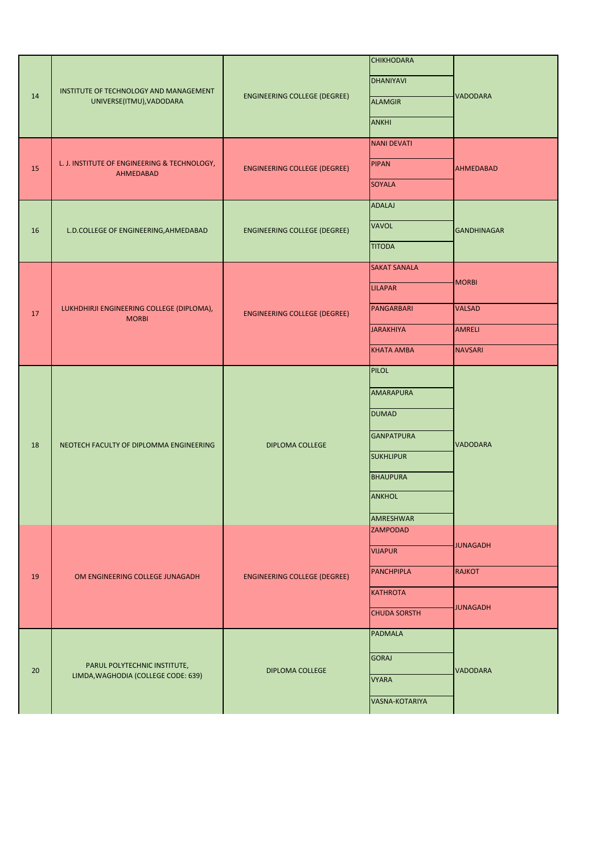| 14 | INSTITUTE OF TECHNOLOGY AND MANAGEMENT<br>UNIVERSE(ITMU), VADODARA  | <b>ENGINEERING COLLEGE (DEGREE)</b> | <b>CHIKHODARA</b><br><b>DHANIYAVI</b><br><b>ALAMGIR</b><br><b>ANKHI</b> | <b>VADODARA</b>    |
|----|---------------------------------------------------------------------|-------------------------------------|-------------------------------------------------------------------------|--------------------|
| 15 | L. J. INSTITUTE OF ENGINEERING & TECHNOLOGY,<br>AHMEDABAD           | <b>ENGINEERING COLLEGE (DEGREE)</b> | <b>NANI DEVATI</b><br><b>PIPAN</b><br><b>SOYALA</b>                     | <b>AHMEDABAD</b>   |
| 16 | L.D.COLLEGE OF ENGINEERING, AHMEDABAD                               | <b>ENGINEERING COLLEGE (DEGREE)</b> | <b>ADALAJ</b><br><b>VAVOL</b><br><b>TITODA</b>                          | <b>GANDHINAGAR</b> |
|    | LUKHDHIRJI ENGINEERING COLLEGE (DIPLOMA),<br><b>MORBI</b>           |                                     | <b>SAKAT SANALA</b><br><b>LILAPAR</b>                                   | <b>MORBI</b>       |
| 17 |                                                                     | <b>ENGINEERING COLLEGE (DEGREE)</b> | PANGARBARI                                                              | <b>VALSAD</b>      |
|    |                                                                     |                                     | <b>JARAKHIYA</b>                                                        | <b>AMRELI</b>      |
|    |                                                                     |                                     | <b>KHATA AMBA</b>                                                       | <b>NAVSARI</b>     |
|    | NEOTECH FACULTY OF DIPLOMMA ENGINEERING                             | <b>DIPLOMA COLLEGE</b>              | <b>PILOL</b>                                                            | <b>VADODARA</b>    |
|    |                                                                     |                                     | <b>AMARAPURA</b>                                                        |                    |
|    |                                                                     |                                     | <b>DUMAD</b>                                                            |                    |
| 18 |                                                                     |                                     | <b>GANPATPURA</b>                                                       |                    |
|    |                                                                     |                                     | <b>SUKHLIPUR</b>                                                        |                    |
|    |                                                                     |                                     | <b>BHAUPURA</b>                                                         |                    |
|    |                                                                     |                                     | <b>ANKHOL</b>                                                           |                    |
|    |                                                                     |                                     | <b>AMRESHWAR</b><br><b>ZAMPODAD</b>                                     |                    |
|    | OM ENGINEERING COLLEGE JUNAGADH                                     | <b>ENGINEERING COLLEGE (DEGREE)</b> | <b>VIJAPUR</b>                                                          | <b>JUNAGADH</b>    |
| 19 |                                                                     |                                     | <b>PANCHPIPLA</b>                                                       | <b>RAJKOT</b>      |
|    |                                                                     |                                     | <b>KATHROTA</b>                                                         | <b>JUNAGADH</b>    |
|    |                                                                     |                                     | <b>CHUDA SORSTH</b>                                                     |                    |
| 20 | PARUL POLYTECHNIC INSTITUTE,<br>LIMDA, WAGHODIA (COLLEGE CODE: 639) | <b>DIPLOMA COLLEGE</b>              | <b>PADMALA</b>                                                          | <b>VADODARA</b>    |
|    |                                                                     |                                     | <b>GORAJ</b>                                                            |                    |
|    |                                                                     |                                     | <b>VYARA</b>                                                            |                    |
|    |                                                                     |                                     | <b>VASNA-KOTARIYA</b>                                                   |                    |